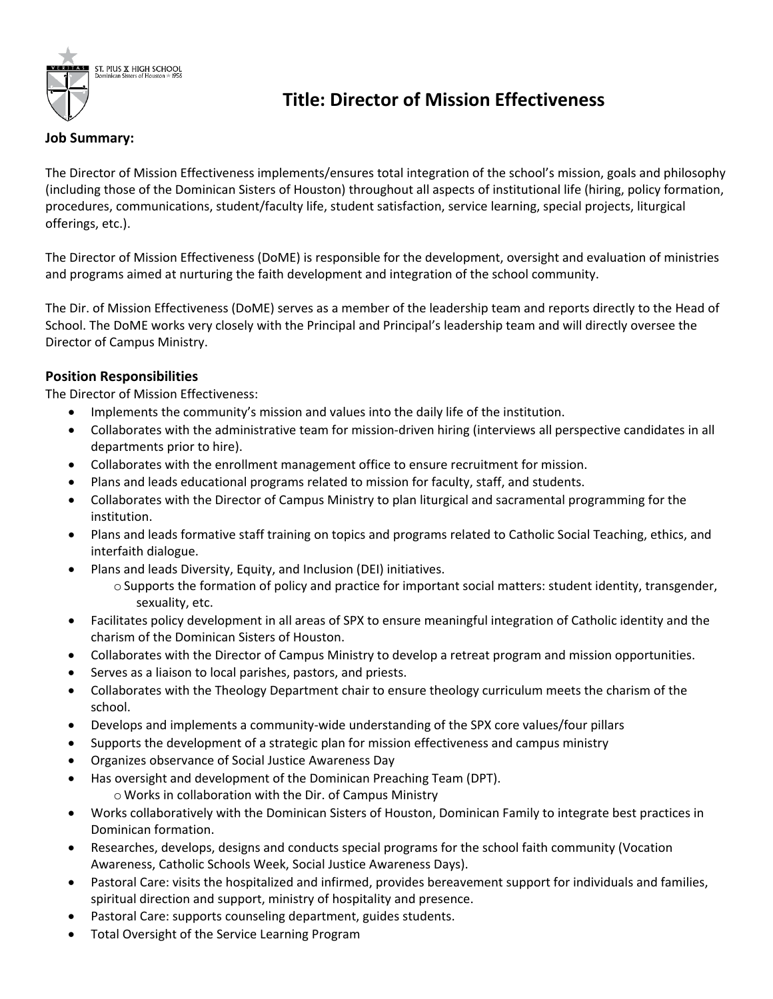

## **Title: Director of Mission Effectiveness**

## **Job Summary:**

The Director of Mission Effectiveness implements/ensures total integration of the school's mission, goals and philosophy (including those of the Dominican Sisters of Houston) throughout all aspects of institutional life (hiring, policy formation, procedures, communications, student/faculty life, student satisfaction, service learning, special projects, liturgical offerings, etc.).

The Director of Mission Effectiveness (DoME) is responsible for the development, oversight and evaluation of ministries and programs aimed at nurturing the faith development and integration of the school community.

The Dir. of Mission Effectiveness (DoME) serves as a member of the leadership team and reports directly to the Head of School. The DoME works very closely with the Principal and Principal's leadership team and will directly oversee the Director of Campus Ministry.

## **Position Responsibilities**

The Director of Mission Effectiveness:

- Implements the community's mission and values into the daily life of the institution.
- Collaborates with the administrative team for mission-driven hiring (interviews all perspective candidates in all departments prior to hire).
- Collaborates with the enrollment management office to ensure recruitment for mission.
- Plans and leads educational programs related to mission for faculty, staff, and students.
- Collaborates with the Director of Campus Ministry to plan liturgical and sacramental programming for the institution.
- Plans and leads formative staff training on topics and programs related to Catholic Social Teaching, ethics, and interfaith dialogue.
- Plans and leads Diversity, Equity, and Inclusion (DEI) initiatives.
	- o Supports the formation of policy and practice for important social matters: student identity, transgender, sexuality, etc.
- Facilitates policy development in all areas of SPX to ensure meaningful integration of Catholic identity and the charism of the Dominican Sisters of Houston.
- Collaborates with the Director of Campus Ministry to develop a retreat program and mission opportunities.
- Serves as a liaison to local parishes, pastors, and priests.
- Collaborates with the Theology Department chair to ensure theology curriculum meets the charism of the school.
- Develops and implements a community-wide understanding of the SPX core values/four pillars
- Supports the development of a strategic plan for mission effectiveness and campus ministry
- Organizes observance of Social Justice Awareness Day
- Has oversight and development of the Dominican Preaching Team (DPT).
	- o Works in collaboration with the Dir. of Campus Ministry
- Works collaboratively with the Dominican Sisters of Houston, Dominican Family to integrate best practices in Dominican formation.
- Researches, develops, designs and conducts special programs for the school faith community (Vocation Awareness, Catholic Schools Week, Social Justice Awareness Days).
- Pastoral Care: visits the hospitalized and infirmed, provides bereavement support for individuals and families, spiritual direction and support, ministry of hospitality and presence.
- Pastoral Care: supports counseling department, guides students.
- Total Oversight of the Service Learning Program